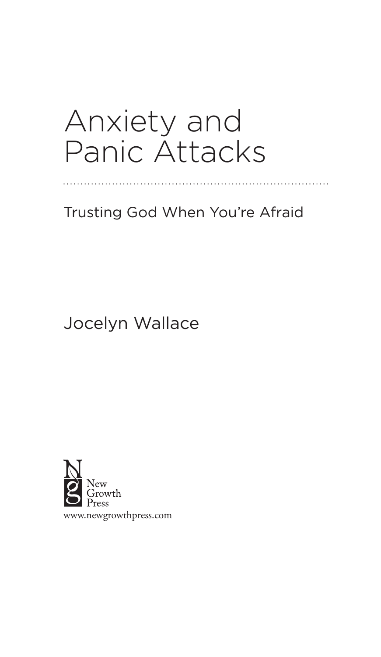## Anxiety and Panic Attacks

Trusting God When You're Afraid

Jocelyn Wallace

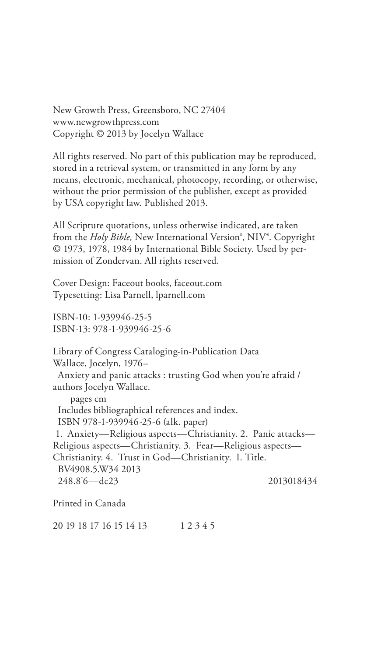New Growth Press, Greensboro, NC 27404 www.newgrowthpress.com Copyright © 2013 by Jocelyn Wallace

All rights reserved. No part of this publication may be reproduced, stored in a retrieval system, or transmitted in any form by any means, electronic, mechanical, photocopy, recording, or otherwise, without the prior permission of the publisher, except as provided by USA copyright law. Published 2013.

All Scripture quotations, unless otherwise indicated, are taken from the *Holy Bible,* New International Version®, NIV®. Copyright © 1973, 1978, 1984 by International Bible Society. Used by permission of Zondervan. All rights reserved.

Cover Design: Faceout books, faceout.com Typesetting: Lisa Parnell, lparnell.com

ISBN-10: 1-939946-25-5 ISBN-13: 978-1-939946-25-6

Library of Congress Cataloging-in-Publication Data Wallace, Jocelyn, 1976– Anxiety and panic attacks : trusting God when you're afraid / authors Jocelyn Wallace. pages cm Includes bibliographical references and index. ISBN 978-1-939946-25-6 (alk. paper) 1. Anxiety—Religious aspects—Christianity. 2. Panic attacks— Religious aspects—Christianity. 3. Fear—Religious aspects— Christianity. 4. Trust in God—Christianity. I. Title. BV4908.5.W34 2013 248.8'6—dc23 2013018434

Printed in Canada

20 19 18 17 16 15 14 13 1 2 3 4 5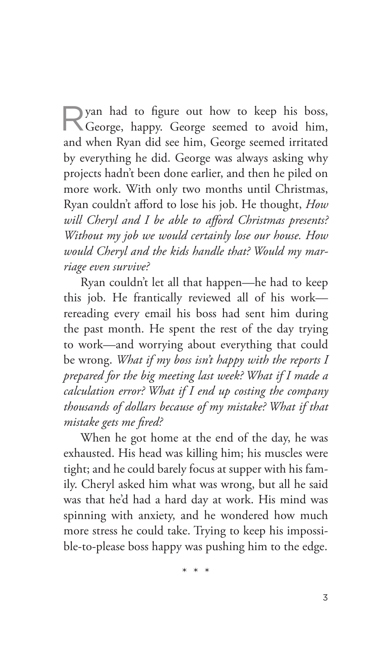Ryan had to !gure out how to keep his boss, George, happy. George seemed to avoid him, and when Ryan did see him, George seemed irritated by everything he did. George was always asking why projects hadn't been done earlier, and then he piled on more work. With only two months until Christmas, Ryan couldn't afford to lose his job. He thought, *How will Cheryl and I be able to a!ord Christmas presents? Without my job we would certainly lose our house. How would Cheryl and the kids handle that? Would my marriage even survive?* 

Ryan couldn't let all that happen—he had to keep this job. He frantically reviewed all of his work rereading every email his boss had sent him during the past month. He spent the rest of the day trying to work—and worrying about everything that could be wrong. *What if my boss isn't happy with the reports I prepared for the big meeting last week? What if I made a calculation error? What if I end up costing the company thousands of dollars because of my mistake? What if that mistake gets me fired?* 

When he got home at the end of the day, he was exhausted. His head was killing him; his muscles were tight; and he could barely focus at supper with his family. Cheryl asked him what was wrong, but all he said was that he'd had a hard day at work. His mind was spinning with anxiety, and he wondered how much more stress he could take. Trying to keep his impossible-to-please boss happy was pushing him to the edge.

\* \* \*